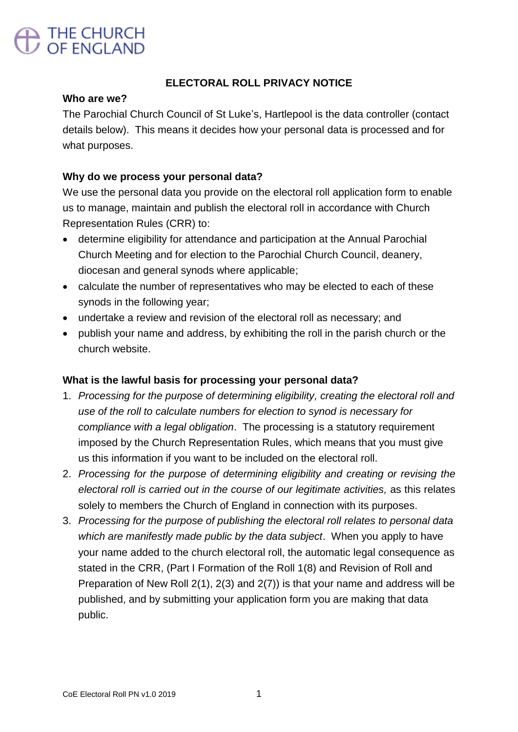# THE CHURCH<br>OF ENGLAND

## **ELECTORAL ROLL PRIVACY NOTICE**

#### **Who are we?**

The Parochial Church Council of St Luke's, Hartlepool is the data controller (contact details below). This means it decides how your personal data is processed and for what purposes.

### **Why do we process your personal data?**

We use the personal data you provide on the electoral roll application form to enable us to manage, maintain and publish the electoral roll in accordance with Church Representation Rules (CRR) to:

- determine eligibility for attendance and participation at the Annual Parochial Church Meeting and for election to the Parochial Church Council, deanery, diocesan and general synods where applicable;
- calculate the number of representatives who may be elected to each of these synods in the following year;
- undertake a review and revision of the electoral roll as necessary; and
- publish your name and address, by exhibiting the roll in the parish church or the church website.

### **What is the lawful basis for processing your personal data?**

- 1. *Processing for the purpose of determining eligibility, creating the electoral roll and use of the roll to calculate numbers for election to synod is necessary for compliance with a legal obligation*. The processing is a statutory requirement imposed by the Church Representation Rules, which means that you must give us this information if you want to be included on the electoral roll.
- 2. *Processing for the purpose of determining eligibility and creating or revising the electoral roll is carried out in the course of our legitimate activities,* as this relates solely to members the Church of England in connection with its purposes.
- 3. *Processing for the purpose of publishing the electoral roll relates to personal data which are manifestly made public by the data subject*. When you apply to have your name added to the church electoral roll, the automatic legal consequence as stated in the CRR, (Part I Formation of the Roll 1(8) and Revision of Roll and Preparation of New Roll 2(1), 2(3) and 2(7)) is that your name and address will be published, and by submitting your application form you are making that data public.